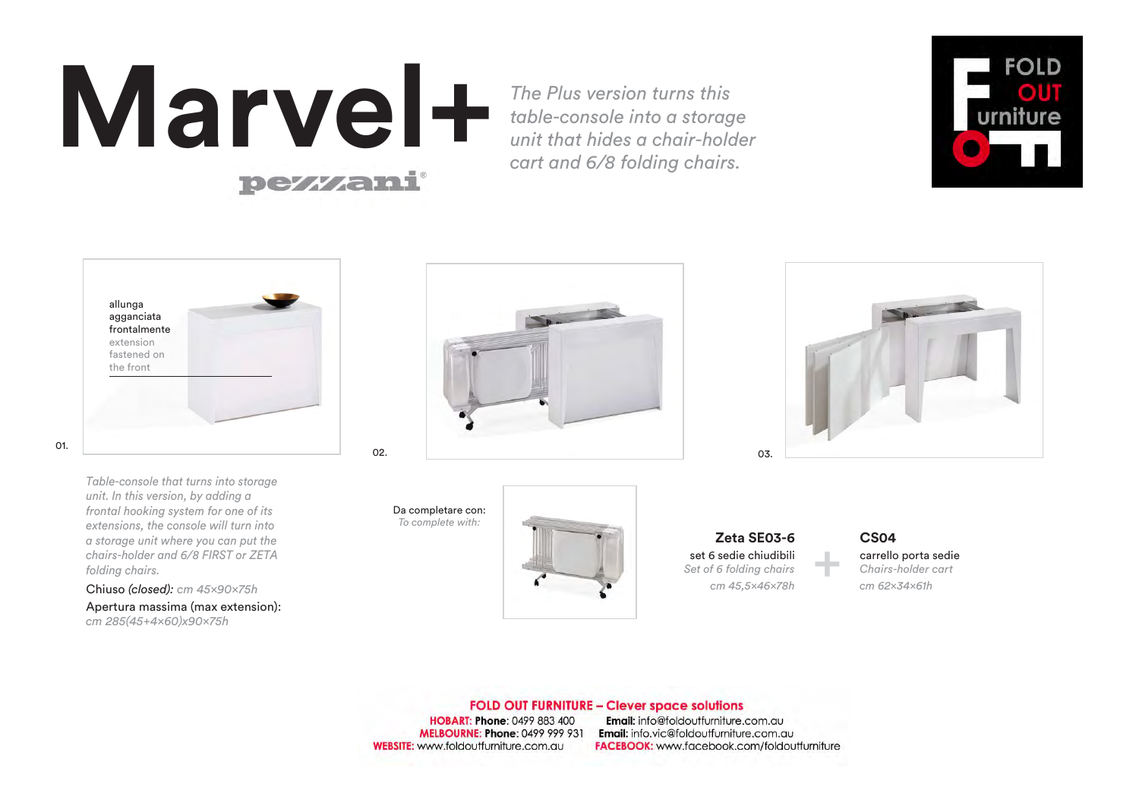# **Marvel+**

+



*cm 45,5×46×78h* set 6 sedie chiudibili *Set of 6 folding chairs* **Zeta SE03-6**

### **FOLD OUT FURNITURE - Clever space solutions**

**HOBART: Phone: 0499 883 400 MELBOURNE: Phone: 0499 999 931 WEBSITE:** www.foldoutfurniture.com.au

Email: info@foldoutfurniture.com.au Email: info.vic@foldoutfurniture.com.au **FACEBOOK:** www.facebook.com/foldoutfurniture





*cm 62×34×61h* carrello porta sedie *Chairs-holder cart* **CS04**

*Table-console that turns into storage unit. In this version, by adding a frontal hooking system for one of its extensions, the console will turn into a storage unit where you can put the chairs-holder and 6/8 FIRST or ZETA folding chairs.* 

Chiuso *(closed): cm 45×90×75h*  Apertura massima (max extension): *cm 285(45+4×60)x90×75h*

*The Plus version turns this table-console into a storage unit that hides a chair-holder cart and 6/8 folding chairs.*

Da completare con: *To complete with:*



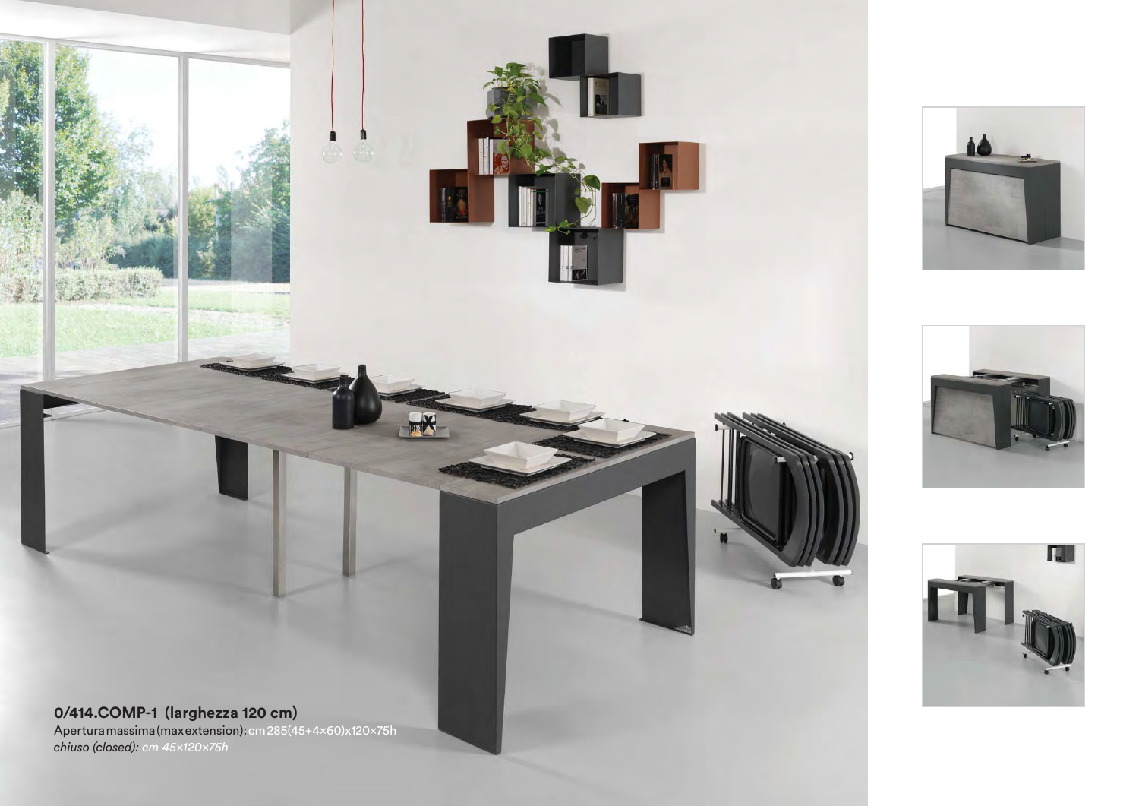Apertura massima (max extension): cm 285(45+4×60)x120×75h *chiuso (closed): cm 45×120×75h*







**0/414.COMP-1 (larghezza 120 cm)**